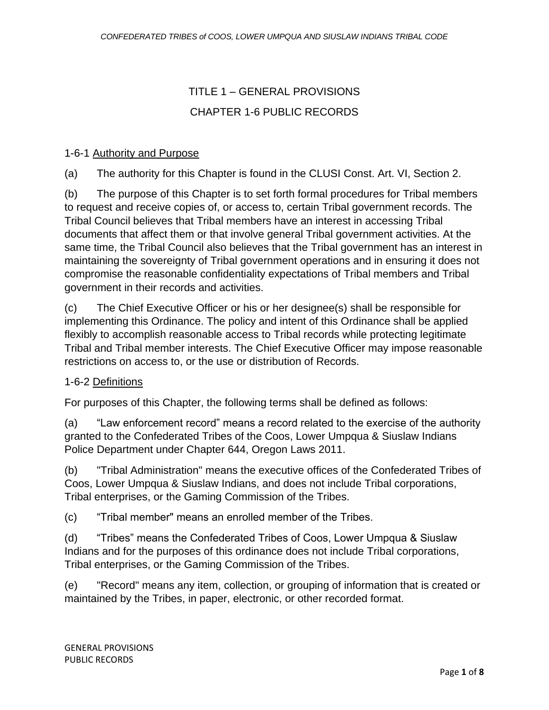# TITLE 1 – GENERAL PROVISIONS CHAPTER 1-6 PUBLIC RECORDS

# 1-6-1 Authority and Purpose

(a) The authority for this Chapter is found in the CLUSI Const. Art. VI, Section 2.

(b) The purpose of this Chapter is to set forth formal procedures for Tribal members to request and receive copies of, or access to, certain Tribal government records. The Tribal Council believes that Tribal members have an interest in accessing Tribal documents that affect them or that involve general Tribal government activities. At the same time, the Tribal Council also believes that the Tribal government has an interest in maintaining the sovereignty of Tribal government operations and in ensuring it does not compromise the reasonable confidentiality expectations of Tribal members and Tribal government in their records and activities.

(c) The Chief Executive Officer or his or her designee(s) shall be responsible for implementing this Ordinance. The policy and intent of this Ordinance shall be applied flexibly to accomplish reasonable access to Tribal records while protecting legitimate Tribal and Tribal member interests. The Chief Executive Officer may impose reasonable restrictions on access to, or the use or distribution of Records.

#### 1-6-2 Definitions

For purposes of this Chapter, the following terms shall be defined as follows:

(a) "Law enforcement record" means a record related to the exercise of the authority granted to the Confederated Tribes of the Coos, Lower Umpqua & Siuslaw Indians Police Department under Chapter 644, Oregon Laws 2011.

(b) "Tribal Administration" means the executive offices of the Confederated Tribes of Coos, Lower Umpqua & Siuslaw Indians, and does not include Tribal corporations, Tribal enterprises, or the Gaming Commission of the Tribes.

(c) "Tribal member" means an enrolled member of the Tribes.

(d) "Tribes" means the Confederated Tribes of Coos, Lower Umpqua & Siuslaw Indians and for the purposes of this ordinance does not include Tribal corporations, Tribal enterprises, or the Gaming Commission of the Tribes.

(e) "Record" means any item, collection, or grouping of information that is created or maintained by the Tribes, in paper, electronic, or other recorded format.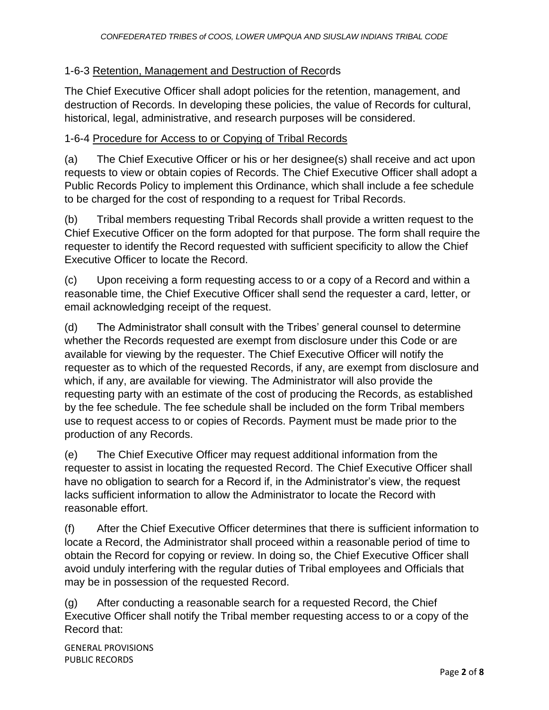# 1-6-3 Retention, Management and Destruction of Records

The Chief Executive Officer shall adopt policies for the retention, management, and destruction of Records. In developing these policies, the value of Records for cultural, historical, legal, administrative, and research purposes will be considered.

#### 1-6-4 Procedure for Access to or Copying of Tribal Records

(a) The Chief Executive Officer or his or her designee(s) shall receive and act upon requests to view or obtain copies of Records. The Chief Executive Officer shall adopt a Public Records Policy to implement this Ordinance, which shall include a fee schedule to be charged for the cost of responding to a request for Tribal Records.

(b) Tribal members requesting Tribal Records shall provide a written request to the Chief Executive Officer on the form adopted for that purpose. The form shall require the requester to identify the Record requested with sufficient specificity to allow the Chief Executive Officer to locate the Record.

(c) Upon receiving a form requesting access to or a copy of a Record and within a reasonable time, the Chief Executive Officer shall send the requester a card, letter, or email acknowledging receipt of the request.

(d) The Administrator shall consult with the Tribes' general counsel to determine whether the Records requested are exempt from disclosure under this Code or are available for viewing by the requester. The Chief Executive Officer will notify the requester as to which of the requested Records, if any, are exempt from disclosure and which, if any, are available for viewing. The Administrator will also provide the requesting party with an estimate of the cost of producing the Records, as established by the fee schedule. The fee schedule shall be included on the form Tribal members use to request access to or copies of Records. Payment must be made prior to the production of any Records.

(e) The Chief Executive Officer may request additional information from the requester to assist in locating the requested Record. The Chief Executive Officer shall have no obligation to search for a Record if, in the Administrator's view, the request lacks sufficient information to allow the Administrator to locate the Record with reasonable effort.

(f) After the Chief Executive Officer determines that there is sufficient information to locate a Record, the Administrator shall proceed within a reasonable period of time to obtain the Record for copying or review. In doing so, the Chief Executive Officer shall avoid unduly interfering with the regular duties of Tribal employees and Officials that may be in possession of the requested Record.

(g) After conducting a reasonable search for a requested Record, the Chief Executive Officer shall notify the Tribal member requesting access to or a copy of the Record that:

GENERAL PROVISIONS PUBLIC RECORDS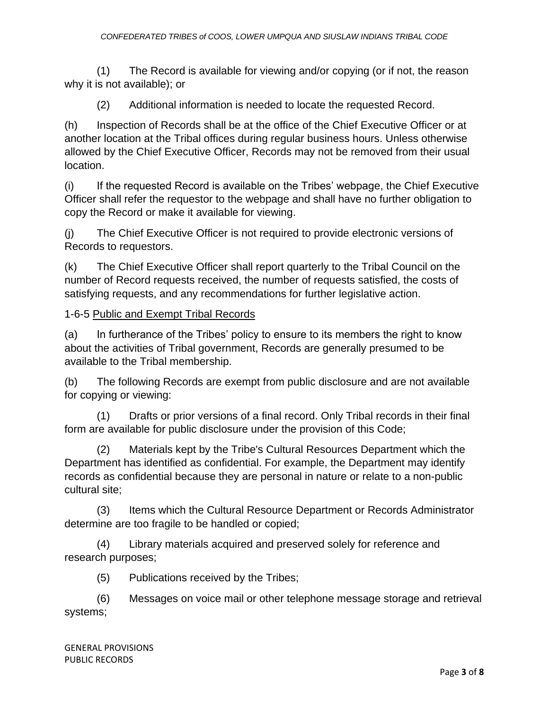(1) The Record is available for viewing and/or copying (or if not, the reason why it is not available); or

(2) Additional information is needed to locate the requested Record.

(h) Inspection of Records shall be at the office of the Chief Executive Officer or at another location at the Tribal offices during regular business hours. Unless otherwise allowed by the Chief Executive Officer, Records may not be removed from their usual location.

(i) If the requested Record is available on the Tribes' webpage, the Chief Executive Officer shall refer the requestor to the webpage and shall have no further obligation to copy the Record or make it available for viewing.

(j) The Chief Executive Officer is not required to provide electronic versions of Records to requestors.

(k) The Chief Executive Officer shall report quarterly to the Tribal Council on the number of Record requests received, the number of requests satisfied, the costs of satisfying requests, and any recommendations for further legislative action.

#### 1-6-5 Public and Exempt Tribal Records

(a) In furtherance of the Tribes' policy to ensure to its members the right to know about the activities of Tribal government, Records are generally presumed to be available to the Tribal membership.

(b) The following Records are exempt from public disclosure and are not available for copying or viewing:

(1) Drafts or prior versions of a final record. Only Tribal records in their final form are available for public disclosure under the provision of this Code;

(2) Materials kept by the Tribe's Cultural Resources Department which the Department has identified as confidential. For example, the Department may identify records as confidential because they are personal in nature or relate to a non-public cultural site;

(3) Items which the Cultural Resource Department or Records Administrator determine are too fragile to be handled or copied;

(4) Library materials acquired and preserved solely for reference and research purposes;

(5) Publications received by the Tribes;

(6) Messages on voice mail or other telephone message storage and retrieval systems;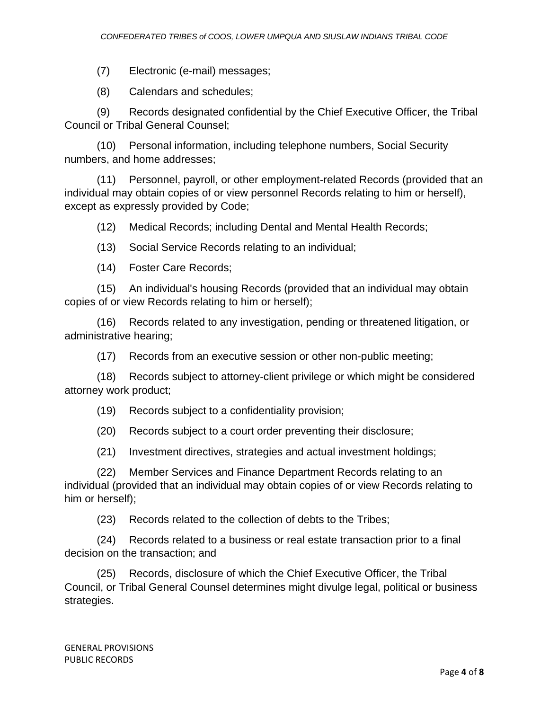(7) Electronic (e-mail) messages;

(8) Calendars and schedules;

(9) Records designated confidential by the Chief Executive Officer, the Tribal Council or Tribal General Counsel;

(10) Personal information, including telephone numbers, Social Security numbers, and home addresses;

(11) Personnel, payroll, or other employment-related Records (provided that an individual may obtain copies of or view personnel Records relating to him or herself), except as expressly provided by Code;

(12) Medical Records; including Dental and Mental Health Records;

(13) Social Service Records relating to an individual;

(14) Foster Care Records;

(15) An individual's housing Records (provided that an individual may obtain copies of or view Records relating to him or herself);

(16) Records related to any investigation, pending or threatened litigation, or administrative hearing;

(17) Records from an executive session or other non-public meeting;

(18) Records subject to attorney-client privilege or which might be considered attorney work product;

(19) Records subject to a confidentiality provision;

(20) Records subject to a court order preventing their disclosure;

(21) Investment directives, strategies and actual investment holdings;

(22) Member Services and Finance Department Records relating to an individual (provided that an individual may obtain copies of or view Records relating to him or herself);

(23) Records related to the collection of debts to the Tribes;

(24) Records related to a business or real estate transaction prior to a final decision on the transaction; and

(25) Records, disclosure of which the Chief Executive Officer, the Tribal Council, or Tribal General Counsel determines might divulge legal, political or business strategies.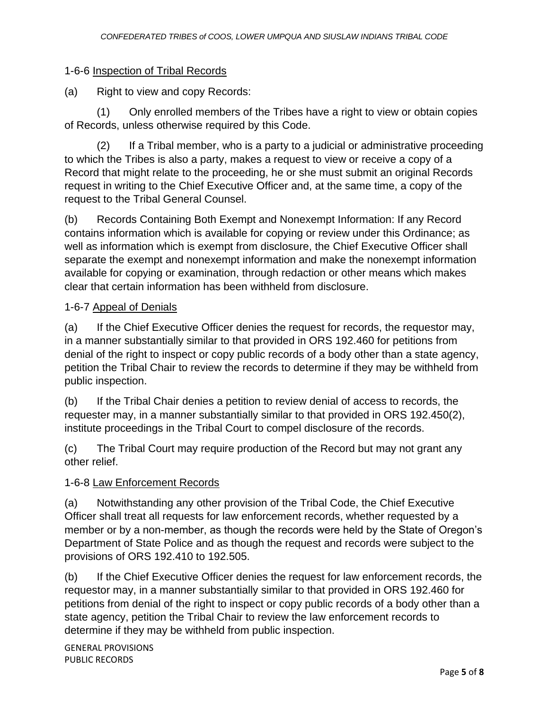# 1-6-6 Inspection of Tribal Records

(a) Right to view and copy Records:

(1) Only enrolled members of the Tribes have a right to view or obtain copies of Records, unless otherwise required by this Code.

(2) If a Tribal member, who is a party to a judicial or administrative proceeding to which the Tribes is also a party, makes a request to view or receive a copy of a Record that might relate to the proceeding, he or she must submit an original Records request in writing to the Chief Executive Officer and, at the same time, a copy of the request to the Tribal General Counsel.

(b) Records Containing Both Exempt and Nonexempt Information: If any Record contains information which is available for copying or review under this Ordinance; as well as information which is exempt from disclosure, the Chief Executive Officer shall separate the exempt and nonexempt information and make the nonexempt information available for copying or examination, through redaction or other means which makes clear that certain information has been withheld from disclosure.

### 1-6-7 Appeal of Denials

(a) If the Chief Executive Officer denies the request for records, the requestor may, in a manner substantially similar to that provided in ORS 192.460 for petitions from denial of the right to inspect or copy public records of a body other than a state agency, petition the Tribal Chair to review the records to determine if they may be withheld from public inspection.

(b) If the Tribal Chair denies a petition to review denial of access to records, the requester may, in a manner substantially similar to that provided in ORS 192.450(2), institute proceedings in the Tribal Court to compel disclosure of the records.

(c) The Tribal Court may require production of the Record but may not grant any other relief.

# 1-6-8 Law Enforcement Records

(a) Notwithstanding any other provision of the Tribal Code, the Chief Executive Officer shall treat all requests for law enforcement records, whether requested by a member or by a non-member, as though the records were held by the State of Oregon's Department of State Police and as though the request and records were subject to the provisions of ORS 192.410 to 192.505.

(b) If the Chief Executive Officer denies the request for law enforcement records, the requestor may, in a manner substantially similar to that provided in ORS 192.460 for petitions from denial of the right to inspect or copy public records of a body other than a state agency, petition the Tribal Chair to review the law enforcement records to determine if they may be withheld from public inspection.

GENERAL PROVISIONS PUBLIC RECORDS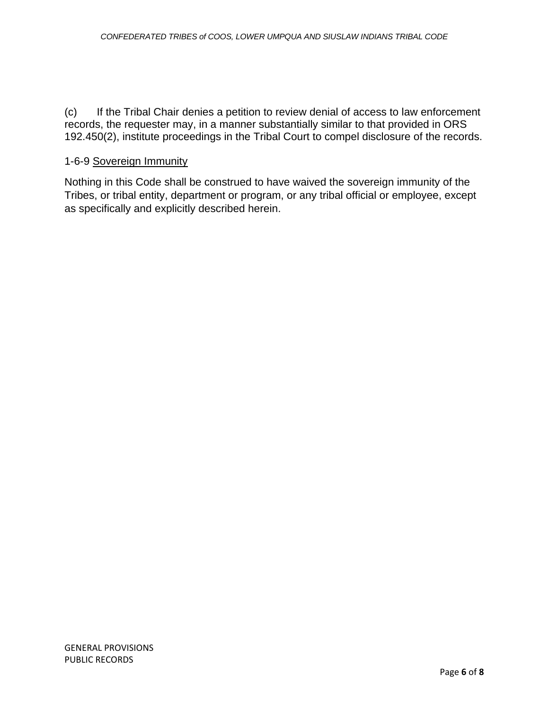(c) If the Tribal Chair denies a petition to review denial of access to law enforcement records, the requester may, in a manner substantially similar to that provided in ORS 192.450(2), institute proceedings in the Tribal Court to compel disclosure of the records.

#### 1-6-9 Sovereign Immunity

Nothing in this Code shall be construed to have waived the sovereign immunity of the Tribes, or tribal entity, department or program, or any tribal official or employee, except as specifically and explicitly described herein.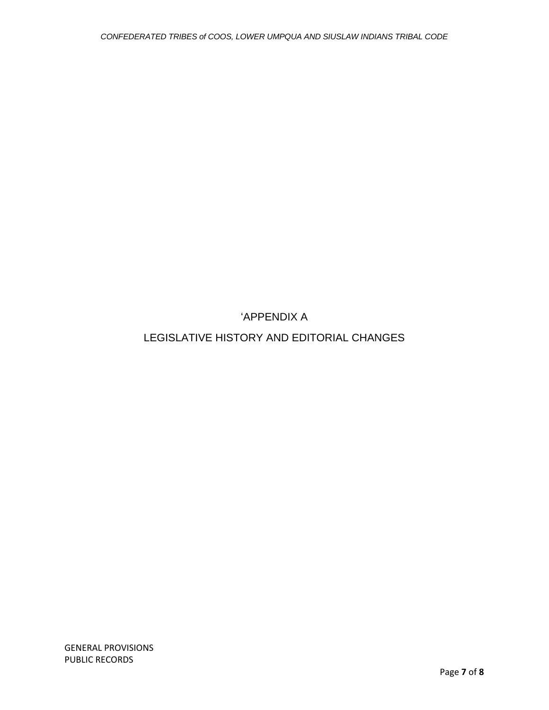'APPENDIX A

LEGISLATIVE HISTORY AND EDITORIAL CHANGES

GENERAL PROVISIONS PUBLIC RECORDS